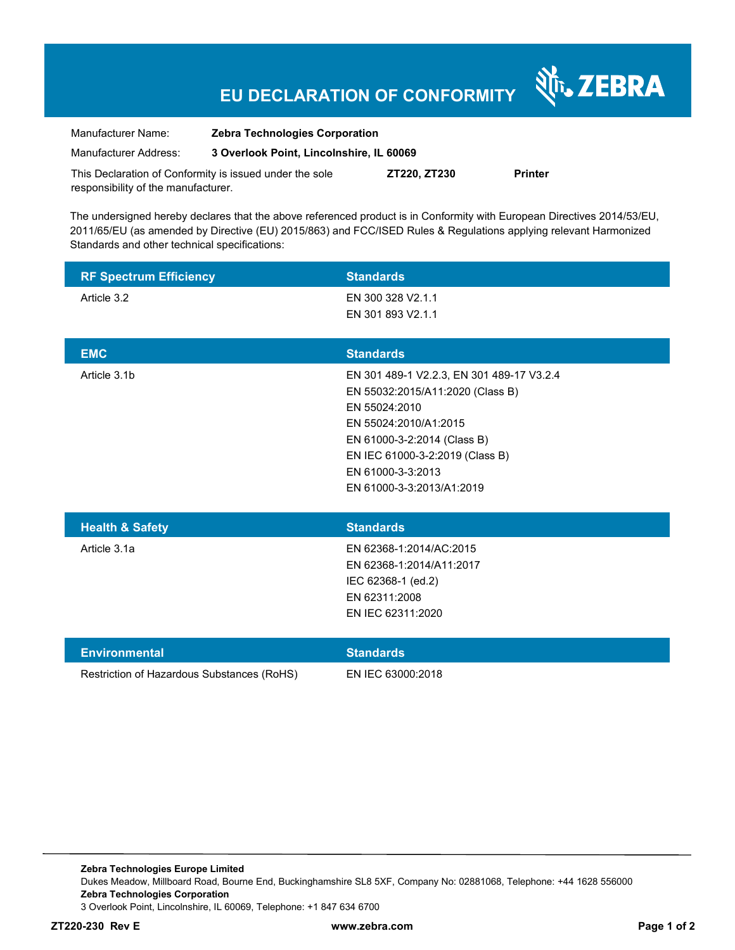## **EU DECLARATION OF CONFORMITY**

Nr. ZEBRA

| Manufacturer Name:                                      | <b>Zebra Technologies Corporation</b>    |              |                |
|---------------------------------------------------------|------------------------------------------|--------------|----------------|
| Manufacturer Address:                                   | 3 Overlook Point, Lincolnshire, IL 60069 |              |                |
| This Declaration of Conformity is issued under the sole |                                          | ZT220. ZT230 | <b>Printer</b> |

responsibility of the manufacturer.

The undersigned hereby declares that the above referenced product is in Conformity with European Directives 2014/53/EU, 2011/65/EU (as amended by Directive (EU) 2015/863) and FCC/ISED Rules & Regulations applying relevant Harmonized Standards and other technical specifications:

| <b>RF Spectrum Efficiency</b>              | <b>Standards</b>                                     |
|--------------------------------------------|------------------------------------------------------|
| Article 3.2                                | EN 300 328 V2.1.1                                    |
|                                            | EN 301 893 V2.1.1                                    |
| <b>EMC</b>                                 | <b>Standards</b>                                     |
| Article 3.1b                               | EN 301 489-1 V2.2.3, EN 301 489-17 V3.2.4            |
|                                            | EN 55032:2015/A11:2020 (Class B)<br>EN 55024:2010    |
|                                            | EN 55024:2010/A1:2015                                |
|                                            | EN 61000-3-2:2014 (Class B)                          |
|                                            | EN IEC 61000-3-2:2019 (Class B)<br>EN 61000-3-3:2013 |
|                                            | EN 61000-3-3:2013/A1:2019                            |
|                                            |                                                      |
| <b>Health &amp; Safety</b>                 | <b>Standards</b>                                     |
| Article 3.1a                               | EN 62368-1:2014/AC:2015                              |
|                                            | EN 62368-1:2014/A11:2017                             |
|                                            | IEC 62368-1 (ed.2)<br>EN 62311:2008                  |
|                                            | EN IEC 62311:2020                                    |
|                                            |                                                      |
| <b>Environmental</b>                       | <b>Standards</b>                                     |
| Restriction of Hazardous Substances (RoHS) | EN IEC 63000:2018                                    |
|                                            |                                                      |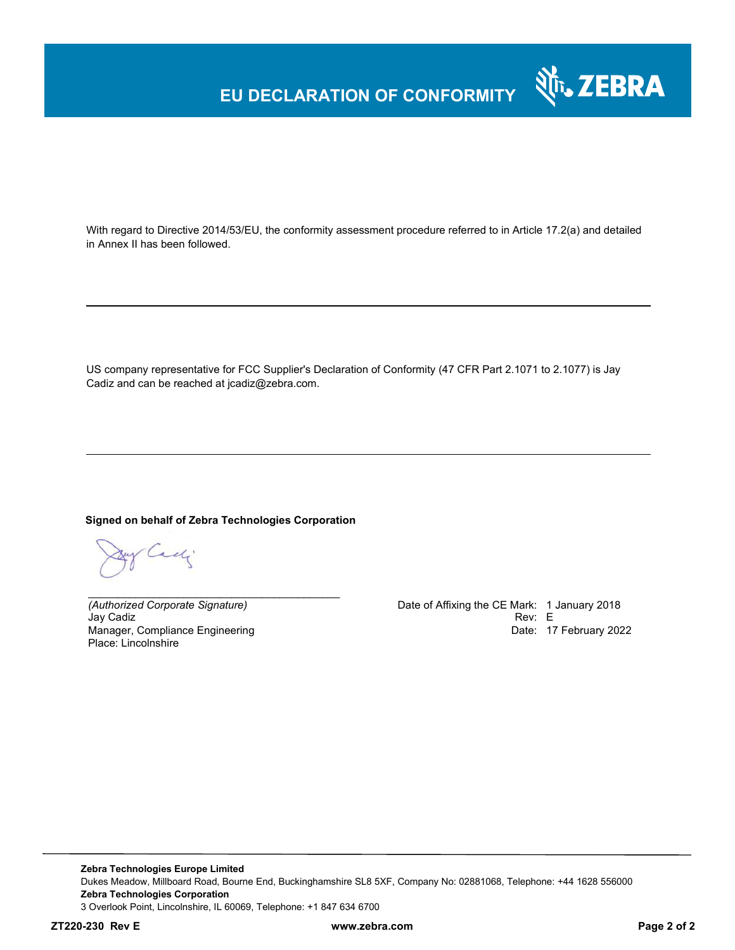### **EU DECLARATION OF CONFORMITY**

With regard to Directive 2014/53/EU, the conformity assessment procedure referred to in Article 17.2(a) and detailed in Annex II has been followed.

US company representative for FCC Supplier's Declaration of Conformity (47 CFR Part 2.1071 to 2.1077) is Jay Cadiz and can be reached at jcadiz@zebra.com.

#### **Signed on behalf of Zebra Technologies Corporation**

*\_\_\_\_\_\_\_\_\_\_\_\_\_\_\_\_\_\_\_\_\_\_\_\_\_\_\_\_\_\_\_\_\_\_\_\_\_\_\_\_\_\_*

gy Cadi

Jay Cadiz Rev: E Manager, Compliance Engineering Place: Lincolnshire

*(Authorized Corporate Signature)* Date of Affixing the CE Mark: 1 January 2018 Date: 17 February 2022

र्शे<sub>ं</sub> ZEBRA